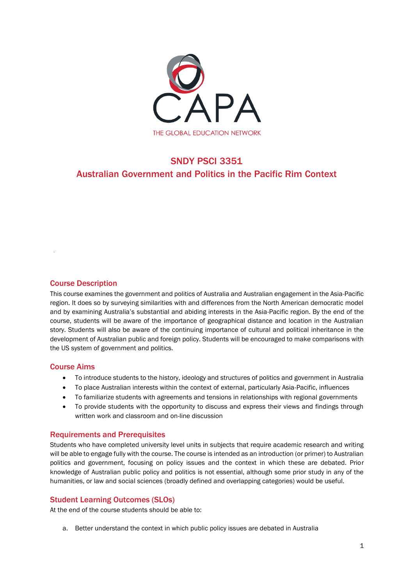

# SNDY PSCI 3351 Australian Government and Politics in the Pacific Rim Context

## Course Description

This course examines the government and politics of Australia and Australian engagement in the Asia-Pacific region. It does so by surveying similarities with and differences from the North American democratic model and by examining Australia's substantial and abiding interests in the Asia-Pacific region. By the end of the course, students will be aware of the importance of geographical distance and location in the Australian story. Students will also be aware of the continuing importance of cultural and political inheritance in the development of Australian public and foreign policy. Students will be encouraged to make comparisons with the US system of government and politics.

## Course Aims

- To introduce students to the history, ideology and structures of politics and government in Australia
- To place Australian interests within the context of external, particularly Asia-Pacific, influences
- To familiarize students with agreements and tensions in relationships with regional governments
- To provide students with the opportunity to discuss and express their views and findings through written work and classroom and on-line discussion

## Requirements and Prerequisites

Students who have completed university level units in subjects that require academic research and writing will be able to engage fully with the course. The course is intended as an introduction (or primer) to Australian politics and government, focusing on policy issues and the context in which these are debated. Prior knowledge of Australian public policy and politics is not essential, although some prior study in any of the humanities, or law and social sciences (broadly defined and overlapping categories) would be useful.

## Student Learning Outcomes (SLOs)

At the end of the course students should be able to:

a. Better understand the context in which public policy issues are debated in Australia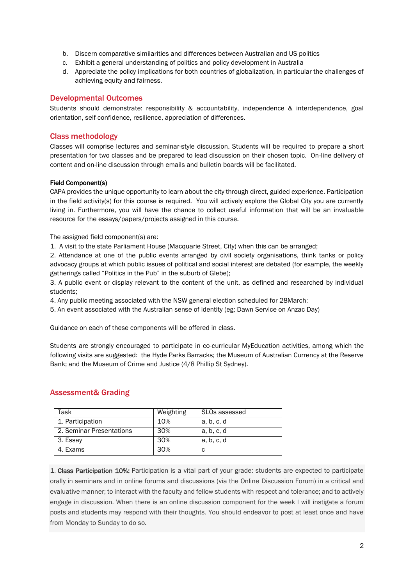- b. Discern comparative similarities and differences between Australian and US politics
- c. Exhibit a general understanding of politics and policy development in Australia
- d. Appreciate the policy implications for both countries of globalization, in particular the challenges of achieving equity and fairness.

## Developmental Outcomes

Students should demonstrate: responsibility & accountability, independence & interdependence, goal orientation, self-confidence, resilience, appreciation of differences.

## Class methodology

Classes will comprise lectures and seminar-style discussion. Students will be required to prepare a short presentation for two classes and be prepared to lead discussion on their chosen topic. On-line delivery of content and on-line discussion through emails and bulletin boards will be facilitated.

#### Field Component(s)

CAPA provides the unique opportunity to learn about the city through direct, guided experience. Participation in the field activity(s) for this course is required. You will actively explore the Global City you are currently living in. Furthermore, you will have the chance to collect useful information that will be an invaluable resource for the essays/papers/projects assigned in this course.

The assigned field component(s) are:

1. A visit to the state Parliament House (Macquarie Street, City) when this can be arranged;

2. Attendance at one of the public events arranged by civil society organisations, think tanks or policy advocacy groups at which public issues of political and social interest are debated (for example, the weekly gatherings called "Politics in the Pub" in the suburb of Glebe);

3. A public event or display relevant to the content of the unit, as defined and researched by individual students;

- 4. Any public meeting associated with the NSW general election scheduled for 28March;
- 5. An event associated with the Australian sense of identity (eg; Dawn Service on Anzac Day)

Guidance on each of these components will be offered in class.

Students are strongly encouraged to participate in co-curricular MyEducation activities, among which the following visits are suggested: the Hyde Parks Barracks; the Museum of Australian Currency at the Reserve Bank; and the Museum of Crime and Justice (4/8 Phillip St Sydney).

| Task                     | Weighting | SLOs assessed |
|--------------------------|-----------|---------------|
| 1. Participation         | 10%       | a, b, c, d    |
| 2. Seminar Presentations | 30%       | a, b, c, d    |
| 3. Essay                 | 30%       | a, b, c, d    |
| 4. Exams                 | 30%       |               |

## Assessment& Grading

1. Class Participation 10%: Participation is a vital part of your grade: students are expected to participate orally in seminars and in online forums and discussions (via the Online Discussion Forum) in a critical and evaluative manner; to interact with the faculty and fellow students with respect and tolerance; and to actively engage in discussion. When there is an online discussion component for the week I will instigate a forum posts and students may respond with their thoughts. You should endeavor to post at least once and have from Monday to Sunday to do so.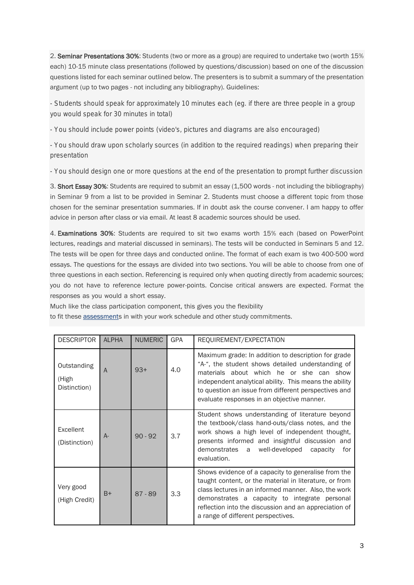2. Seminar Presentations 30%: Students (two or more as a group) are required to undertake two (worth 15% each) 10-15 minute class presentations (followed by questions/discussion) based on one of the discussion questions listed for each seminar outlined below. The presenters is to submit a summary of the presentation argument (up to two pages - not including any bibliography). Guidelines:

- Students should speak for approximately 10 minutes each (eg. if there are three people in a group you would speak for 30 minutes in total)

- You should include power points (video's, pictures and diagrams are also encouraged)

- You should draw upon scholarly sources (in addition to the required readings) when preparing their presentation

- You should design one or more questions at the end of the presentation to prompt further discussion

3. Short Essay 30%: Students are required to submit an essay (1,500 words - not including the bibliography) in Seminar 9 from a list to be provided in Seminar 2. Students must choose a different topic from those chosen for the seminar presentation summaries. If in doubt ask the course convener. I am happy to offer advice in person after class or via email. At least 8 academic sources should be used.

4. Examinations 30%: Students are required to sit two exams worth 15% each (based on PowerPoint lectures, readings and material discussed in seminars). The tests will be conducted in Seminars 5 and 12. The tests will be open for three days and conducted online. The format of each exam is two 400-500 word essays. The questions for the essays are divided into two sections. You will be able to choose from one of three questions in each section. Referencing is required only when quoting directly from academic sources; you do not have to reference lecture power-points. Concise critical answers are expected. Format the responses as you would a short essay.

Much like the class participation component, this gives you the flexibility

to fit these [assessments](http://leo.acu.edu.au/mod/glossary/showentry.php?eid=1394&displayformat=dictionary) in with your work schedule and other study commitments.

| <b>DESCRIPTOR</b>                    | <b>ALPHA</b> | <b>NUMERIC</b> | <b>GPA</b> | REQUIREMENT/EXPECTATION                                                                                                                                                                                                                                                                                               |
|--------------------------------------|--------------|----------------|------------|-----------------------------------------------------------------------------------------------------------------------------------------------------------------------------------------------------------------------------------------------------------------------------------------------------------------------|
| Outstanding<br>(High<br>Distinction) | A            | $93+$          | 4.0        | Maximum grade: In addition to description for grade<br>"A-", the student shows detailed understanding of<br>materials about which he or she can show<br>independent analytical ability. This means the ability<br>to question an issue from different perspectives and<br>evaluate responses in an objective manner.  |
| Excellent<br>(Distinction)           | $A-$         | $90 - 92$      | 3.7        | Student shows understanding of literature beyond<br>the textbook/class hand-outs/class notes, and the<br>work shows a high level of independent thought,<br>presents informed and insightful discussion and<br>demonstrates a<br>well-developed<br>capacity<br>for<br>evaluation.                                     |
| Very good<br>(High Credit)           | $B+$         | $87 - 89$      | 3.3        | Shows evidence of a capacity to generalise from the<br>taught content, or the material in literature, or from<br>class lectures in an informed manner. Also, the work<br>demonstrates a capacity to integrate personal<br>reflection into the discussion and an appreciation of<br>a range of different perspectives. |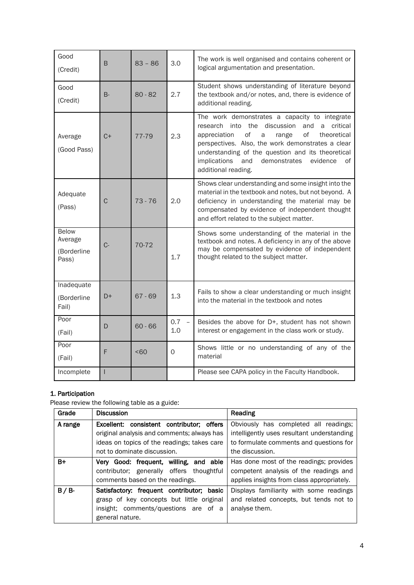| Good<br>(Credit)                                | B     | $83 - 86$ | 3.0                                    | The work is well organised and contains coherent or<br>logical argumentation and presentation.                                                                                                                                                                                                                                                                 |
|-------------------------------------------------|-------|-----------|----------------------------------------|----------------------------------------------------------------------------------------------------------------------------------------------------------------------------------------------------------------------------------------------------------------------------------------------------------------------------------------------------------------|
| Good<br>(Credit)                                | $B -$ | $80 - 82$ | 2.7                                    | Student shows understanding of literature beyond<br>the textbook and/or notes, and, there is evidence of<br>additional reading.                                                                                                                                                                                                                                |
| Average<br>(Good Pass)                          | $C+$  | 77-79     | 2.3                                    | The work demonstrates a capacity to integrate<br>discussion<br>research<br>into the<br>and<br>critical<br>a<br>of<br>οf<br>theoretical<br>appreciation<br>a<br>range<br>perspectives. Also, the work demonstrates a clear<br>understanding of the question and its theoretical<br>demonstrates<br>implications<br>and<br>evidence<br>οf<br>additional reading. |
| Adequate<br>(Pass)                              | C     | $73 - 76$ | 2.0                                    | Shows clear understanding and some insight into the<br>material in the textbook and notes, but not beyond. A<br>deficiency in understanding the material may be<br>compensated by evidence of independent thought<br>and effort related to the subject matter.                                                                                                 |
| <b>Below</b><br>Average<br>(Borderline<br>Pass) | $C -$ | 70-72     | 1.7                                    | Shows some understanding of the material in the<br>textbook and notes. A deficiency in any of the above<br>may be compensated by evidence of independent<br>thought related to the subject matter.                                                                                                                                                             |
| Inadequate<br>(Borderline<br>Fail)              | D+    | $67 - 69$ | 1.3                                    | Fails to show a clear understanding or much insight<br>into the material in the textbook and notes                                                                                                                                                                                                                                                             |
| Poor<br>(Fail)                                  | D     | $60 - 66$ | 0.7<br>$\overline{\phantom{a}}$<br>1.0 | Besides the above for D+, student has not shown<br>interest or engagement in the class work or study.                                                                                                                                                                                                                                                          |
| Poor<br>(Fail)                                  | F     | <60       | $\mathbf 0$                            | Shows little or no understanding of any of the<br>material                                                                                                                                                                                                                                                                                                     |
| Incomplete                                      |       |           |                                        | Please see CAPA policy in the Faculty Handbook.                                                                                                                                                                                                                                                                                                                |

# 1. Participation

Please review the following table as a guide:

| Grade   | <b>Discussion</b>                                                                       | Reading                                                                              |
|---------|-----------------------------------------------------------------------------------------|--------------------------------------------------------------------------------------|
| A range | Excellent: consistent contributor; offers<br>original analysis and comments; always has | Obviously has completed all readings;<br>intelligently uses resultant understanding  |
|         | ideas on topics of the readings; takes care                                             | to formulate comments and questions for                                              |
|         | not to dominate discussion.                                                             | the discussion.                                                                      |
| $B+$    | Very Good: frequent, willing, and able                                                  | Has done most of the readings; provides                                              |
|         | contributor; generally offers thoughtful<br>comments based on the readings.             | competent analysis of the readings and<br>applies insights from class appropriately. |
| $B/B$ - | Satisfactory: frequent contributor; basic                                               | Displays familiarity with some readings                                              |
|         | grasp of key concepts but little original                                               | and related concepts, but tends not to                                               |
|         | insight: comments/questions are of a                                                    | analyse them.                                                                        |
|         | general nature.                                                                         |                                                                                      |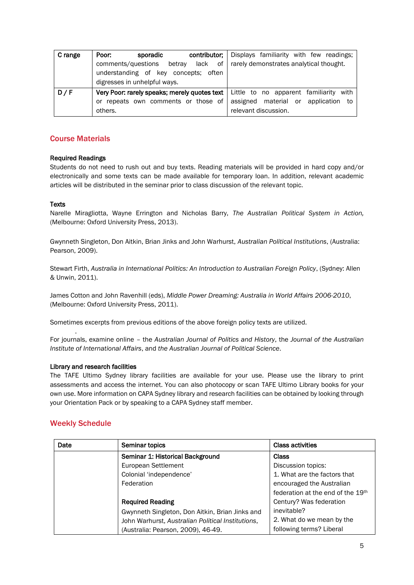| C range | Poor:<br>sporadic<br>contributor;                                                       | Displays familiarity with few readings; |
|---------|-----------------------------------------------------------------------------------------|-----------------------------------------|
|         | comments/questions<br>lack<br>of<br>betrav                                              | rarely demonstrates analytical thought. |
|         | understanding of key concepts; often                                                    |                                         |
|         | digresses in unhelpful ways.                                                            |                                         |
| D/F     | <b>Very Poor: rarely speaks; merely quotes text</b>   Little to no apparent familiarity | with                                    |
|         | or repeats own comments or those of                                                     | assigned material or application<br>to  |
|         | others.                                                                                 | relevant discussion.                    |

## Course Materials

#### Required Readings

Students do not need to rush out and buy texts. Reading materials will be provided in hard copy and/or electronically and some texts can be made available for temporary loan. In addition, relevant academic articles will be distributed in the seminar prior to class discussion of the relevant topic.

#### **Texts**

Narelle Miragliotta, Wayne Errington and Nicholas Barry, *The Australian Political System in Action,* (Melbourne: Oxford University Press, 2013).

Gwynneth Singleton, Don Aitkin, Brian Jinks and John Warhurst, *Australian Political Institutions*, (Australia: Pearson, 2009).

Stewart Firth, *Australia in International Politics: An Introduction to Australian Foreign Policy*, (Sydney: Allen & Unwin, 2011).

James Cotton and John Ravenhill (eds), *Middle Power Dreaming: Australia in World Affairs 2006-2010*, (Melbourne: Oxford University Press, 2011).

Sometimes excerpts from previous editions of the above foreign policy texts are utilized.

For journals, examine online – the *Australian Journal of Politics and History*, the *Journal of the Australian Institute of International Affairs*, and *the Australian Journal of Political Science*.

#### Library and research facilities

The TAFE Ultimo Sydney library facilities are available for your use. Please use the library to print assessments and access the internet. You can also photocopy or scan TAFE Ultimo Library books for your own use. More information on CAPA Sydney library and research facilities can be obtained by looking through your Orientation Pack or by speaking to a CAPA Sydney staff member.

## Weekly Schedule

.

| Date | Seminar topics                                    | <b>Class activities</b>           |
|------|---------------------------------------------------|-----------------------------------|
|      | Seminar 1: Historical Background                  | Class                             |
|      | European Settlement                               | Discussion topics:                |
|      | Colonial 'independence'                           | 1. What are the factors that      |
|      | Federation                                        | encouraged the Australian         |
|      |                                                   | federation at the end of the 19th |
|      | <b>Required Reading</b>                           | Century? Was federation           |
|      | Gwynneth Singleton, Don Aitkin, Brian Jinks and   | inevitable?                       |
|      | John Warhurst, Australian Political Institutions, | 2. What do we mean by the         |
|      | (Australia: Pearson, 2009), 46-49.                | following terms? Liberal          |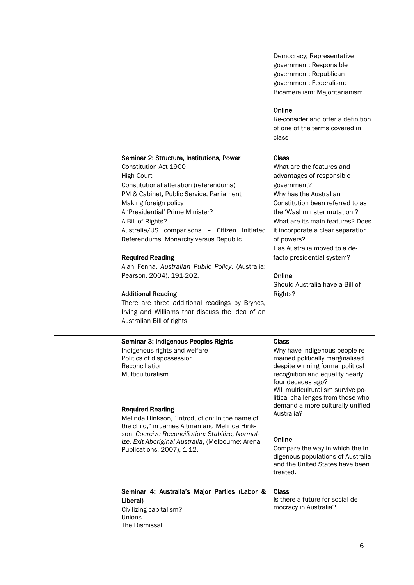|                                                                                                                                                                                                                                                                                                                                                                                                                                                                                                                                                                                                                                      | Democracy; Representative<br>government; Responsible<br>government; Republican<br>government; Federalism;<br>Bicameralism; Majoritarianism<br>Online<br>Re-consider and offer a definition<br>of one of the terms covered in<br>class                                                                                                                                                                                                       |
|--------------------------------------------------------------------------------------------------------------------------------------------------------------------------------------------------------------------------------------------------------------------------------------------------------------------------------------------------------------------------------------------------------------------------------------------------------------------------------------------------------------------------------------------------------------------------------------------------------------------------------------|---------------------------------------------------------------------------------------------------------------------------------------------------------------------------------------------------------------------------------------------------------------------------------------------------------------------------------------------------------------------------------------------------------------------------------------------|
| Seminar 2: Structure, Institutions, Power<br>Constitution Act 1900<br><b>High Court</b><br>Constitutional alteration (referendums)<br>PM & Cabinet, Public Service, Parliament<br>Making foreign policy<br>A 'Presidential' Prime Minister?<br>A Bill of Rights?<br>Australia/US comparisons - Citizen Initiated<br>Referendums, Monarchy versus Republic<br><b>Required Reading</b><br>Alan Fenna, Australian Public Policy, (Australia:<br>Pearson, 2004), 191-202.<br><b>Additional Reading</b><br>There are three additional readings by Brynes,<br>Irving and Williams that discuss the idea of an<br>Australian Bill of rights | Class<br>What are the features and<br>advantages of responsible<br>government?<br>Why has the Australian<br>Constitution been referred to as<br>the 'Washminster mutation'?<br>What are its main features? Does<br>it incorporate a clear separation<br>of powers?<br>Has Australia moved to a de-<br>facto presidential system?<br>Online<br>Should Australia have a Bill of<br>Rights?                                                    |
| Seminar 3: Indigenous Peoples Rights<br>Indigenous rights and welfare<br>Politics of dispossession<br>Reconciliation<br>Multiculturalism<br><b>Required Reading</b><br>Melinda Hinkson, "Introduction: In the name of<br>the child," in James Altman and Melinda Hink-<br>son, Coercive Reconciliation: Stabilize, Normal-<br>ize, Exit Aboriginal Australia, (Melbourne: Arena<br>Publications, 2007), 1-12.                                                                                                                                                                                                                        | <b>Class</b><br>Why have indigenous people re-<br>mained politically marginalised<br>despite winning formal political<br>recognition and equality nearly<br>four decades ago?<br>Will multiculturalism survive po-<br>litical challenges from those who<br>demand a more culturally unified<br>Australia?<br>Online<br>Compare the way in which the In-<br>digenous populations of Australia<br>and the United States have been<br>treated. |
| Seminar 4: Australia's Major Parties (Labor &<br>Liberal)<br>Civilizing capitalism?<br>Unions<br>The Dismissal                                                                                                                                                                                                                                                                                                                                                                                                                                                                                                                       | <b>Class</b><br>Is there a future for social de-<br>mocracy in Australia?                                                                                                                                                                                                                                                                                                                                                                   |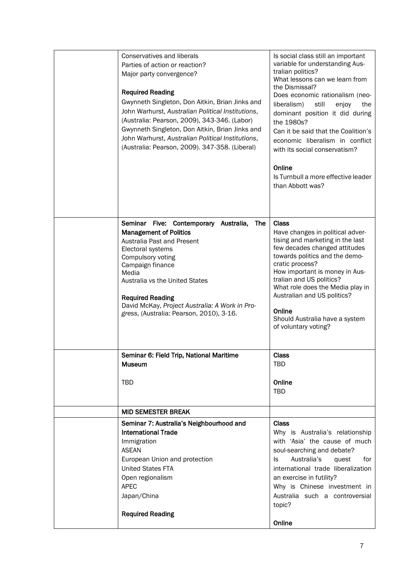| Conservatives and liberals<br>Parties of action or reaction?<br>Major party convergence?<br><b>Required Reading</b><br>Gwynneth Singleton, Don Aitkin, Brian Jinks and<br>John Warhurst, Australian Political Institutions,<br>(Australia: Pearson, 2009), 343-346. (Labor)<br>Gwynneth Singleton, Don Aitkin, Brian Jinks and<br>John Warhurst, Australian Political Institutions,<br>(Australia: Pearson, 2009). 347-358. (Liberal) | Is social class still an important<br>variable for understanding Aus-<br>tralian politics?<br>What lessons can we learn from<br>the Dismissal?<br>Does economic rationalism (neo-<br>liberalism)<br>enjoy<br>the<br>still<br>dominant position it did during<br>the 1980s?<br>Can it be said that the Coalition's<br>economic liberalism in conflict<br>with its social conservatism?<br>Online<br>Is Turnbull a more effective leader<br>than Abbott was? |
|---------------------------------------------------------------------------------------------------------------------------------------------------------------------------------------------------------------------------------------------------------------------------------------------------------------------------------------------------------------------------------------------------------------------------------------|------------------------------------------------------------------------------------------------------------------------------------------------------------------------------------------------------------------------------------------------------------------------------------------------------------------------------------------------------------------------------------------------------------------------------------------------------------|
| Seminar Five: Contemporary Australia,<br>The<br><b>Management of Politics</b><br>Australia Past and Present<br>Electoral systems<br>Compulsory voting<br>Campaign finance<br>Media<br>Australia vs the United States<br><b>Required Reading</b><br>David McKay, Project Australia: A Work in Pro-<br>gress, (Australia: Pearson, 2010), 3-16.                                                                                         | <b>Class</b><br>Have changes in political adver-<br>tising and marketing in the last<br>few decades changed attitudes<br>towards politics and the demo-<br>cratic process?<br>How important is money in Aus-<br>tralian and US politics?<br>What role does the Media play in<br>Australian and US politics?<br>Online<br>Should Australia have a system<br>of voluntary voting?                                                                            |
| Seminar 6: Field Trip, National Maritime<br><b>Museum</b><br><b>TBD</b>                                                                                                                                                                                                                                                                                                                                                               | <b>Class</b><br>TBD<br>Online<br><b>TBD</b>                                                                                                                                                                                                                                                                                                                                                                                                                |
| <b>MID SEMESTER BREAK</b>                                                                                                                                                                                                                                                                                                                                                                                                             |                                                                                                                                                                                                                                                                                                                                                                                                                                                            |
| Seminar 7: Australia's Neighbourhood and<br><b>International Trade</b><br>Immigration<br><b>ASEAN</b><br>European Union and protection<br><b>United States FTA</b><br>Open regionalism<br><b>APEC</b><br>Japan/China<br><b>Required Reading</b>                                                                                                                                                                                       | <b>Class</b><br>Why is Australia's relationship<br>with 'Asia' the cause of much<br>soul-searching and debate?<br>Australia's<br>for<br>quest<br>ls.<br>international trade liberalization<br>an exercise in futility?<br>Why is Chinese investment in<br>Australia such a controversial<br>topic?<br>Online                                                                                                                                               |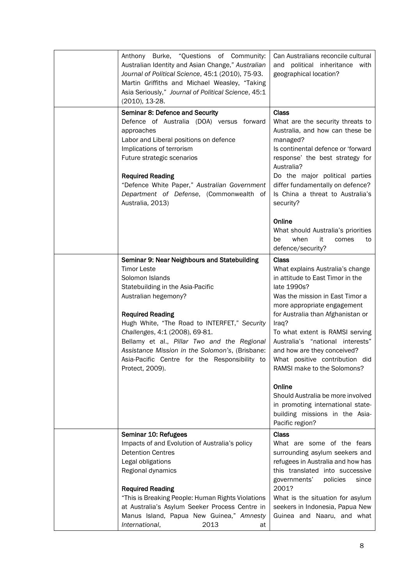| Anthony Burke, "Questions of Community:<br>Australian Identity and Asian Change," Australian<br>Journal of Political Science, 45:1 (2010), 75-93.<br>Martin Griffiths and Michael Weasley, "Taking<br>Asia Seriously," Journal of Political Science, 45:1<br>(2010), 13-28.                                                                                                                                                           | Can Australians reconcile cultural<br>and political inheritance with<br>geographical location?                                                                                                                                                                                                                                                                                             |
|---------------------------------------------------------------------------------------------------------------------------------------------------------------------------------------------------------------------------------------------------------------------------------------------------------------------------------------------------------------------------------------------------------------------------------------|--------------------------------------------------------------------------------------------------------------------------------------------------------------------------------------------------------------------------------------------------------------------------------------------------------------------------------------------------------------------------------------------|
| Seminar 8: Defence and Security<br>Defence of Australia (DOA) versus forward<br>approaches<br>Labor and Liberal positions on defence<br>Implications of terrorism<br>Future strategic scenarios<br><b>Required Reading</b><br>"Defence White Paper," Australian Government<br>Department of Defense, (Commonwealth of<br>Australia, 2013)                                                                                             | <b>Class</b><br>What are the security threats to<br>Australia, and how can these be<br>managed?<br>Is continental defence or 'forward<br>response' the best strategy for<br>Australia?<br>Do the major political parties<br>differ fundamentally on defence?<br>Is China a threat to Australia's<br>security?                                                                              |
|                                                                                                                                                                                                                                                                                                                                                                                                                                       | Online<br>What should Australia's priorities<br>when<br>it<br>be<br>comes<br>to<br>defence/security?                                                                                                                                                                                                                                                                                       |
| Seminar 9: Near Neighbours and Statebuilding<br><b>Timor Leste</b><br>Solomon Islands<br>Statebuilding in the Asia-Pacific<br>Australian hegemony?<br><b>Required Reading</b><br>Hugh White, "The Road to INTERFET," Security<br>Challenges, 4:1 (2008), 69-81.<br>Bellamy et al., Pillar Two and the Regional<br>Assistance Mission in the Solomon's, (Brisbane:<br>Asia-Pacific Centre for the Responsibility to<br>Protect, 2009). | <b>Class</b><br>What explains Australia's change<br>in attitude to East Timor in the<br>late 1990s?<br>Was the mission in East Timor a<br>more appropriate engagement<br>for Australia than Afghanistan or<br>Iraq?<br>To what extent is RAMSI serving<br>Australia's "national interests"<br>and how are they conceived?<br>What positive contribution did<br>RAMSI make to the Solomons? |
|                                                                                                                                                                                                                                                                                                                                                                                                                                       | Online<br>Should Australia be more involved<br>in promoting international state-<br>building missions in the Asia-<br>Pacific region?                                                                                                                                                                                                                                                      |
| Seminar 10: Refugees<br>Impacts of and Evolution of Australia's policy<br><b>Detention Centres</b><br>Legal obligations<br>Regional dynamics<br><b>Required Reading</b><br>"This is Breaking People: Human Rights Violations<br>at Australia's Asylum Seeker Process Centre in<br>Manus Island, Papua New Guinea," Amnesty<br>International,<br>2013<br>at                                                                            | <b>Class</b><br>What are some of the fears<br>surrounding asylum seekers and<br>refugees in Australia and how has<br>this translated into successive<br>governments'<br>policies<br>since<br>2001?<br>What is the situation for asylum<br>seekers in Indonesia, Papua New<br>Guinea and Naaru, and what                                                                                    |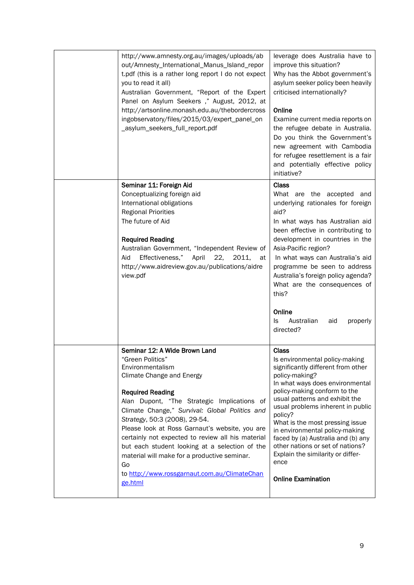| http://www.amnesty.org.au/images/uploads/ab<br>out/Amnesty_International_Manus_Island_repor<br>t.pdf (this is a rather long report I do not expect<br>you to read it all)<br>Australian Government, "Report of the Expert<br>Panel on Asylum Seekers," August, 2012, at<br>http://artsonline.monash.edu.au/thebordercross<br>ingobservatory/files/2015/03/expert_panel_on<br>_asylum_seekers_full_report.pdf                                                                                                                              | leverage does Australia have to<br>improve this situation?<br>Why has the Abbot government's<br>asylum seeker policy been heavily<br>criticised internationally?<br>Online<br>Examine current media reports on<br>the refugee debate in Australia.<br>Do you think the Government's<br>new agreement with Cambodia<br>for refugee resettlement is a fair<br>and potentially effective policy<br>initiative?                                                                          |
|-------------------------------------------------------------------------------------------------------------------------------------------------------------------------------------------------------------------------------------------------------------------------------------------------------------------------------------------------------------------------------------------------------------------------------------------------------------------------------------------------------------------------------------------|--------------------------------------------------------------------------------------------------------------------------------------------------------------------------------------------------------------------------------------------------------------------------------------------------------------------------------------------------------------------------------------------------------------------------------------------------------------------------------------|
| Seminar 11: Foreign Aid<br>Conceptualizing foreign aid<br>International obligations<br><b>Regional Priorities</b><br>The future of Aid<br><b>Required Reading</b><br>Australian Government, "Independent Review of<br>Effectiveness,"<br>Aid<br>April<br>22,<br>2011,<br>at<br>http://www.aidreview.gov.au/publications/aidre<br>view.pdf                                                                                                                                                                                                 | Class<br>What are the accepted and<br>underlying rationales for foreign<br>aid?<br>In what ways has Australian aid<br>been effective in contributing to<br>development in countries in the<br>Asia-Pacific region?<br>In what ways can Australia's aid<br>programme be seen to address<br>Australia's foreign policy agenda?<br>What are the consequences of<br>this?<br>Online<br>Australian<br>ls.<br>aid<br>properly<br>directed?                                                 |
| Seminar 12: A Wide Brown Land<br>"Green Politics"<br>Environmentalism<br>Climate Change and Energy<br><b>Required Reading</b><br>Alan Dupont, "The Strategic Implications of<br>Climate Change," Survival: Global Politics and<br>Strategy, 50:3 (2008), 29-54.<br>Please look at Ross Garnaut's website, you are<br>certainly not expected to review all his material<br>but each student looking at a selection of the<br>material will make for a productive seminar.<br>Go<br>to http://www.rossgarnaut.com.au/ClimateChan<br>ge.html | <b>Class</b><br>Is environmental policy-making<br>significantly different from other<br>policy-making?<br>In what ways does environmental<br>policy-making conform to the<br>usual patterns and exhibit the<br>usual problems inherent in public<br>policy?<br>What is the most pressing issue<br>in environmental policy-making<br>faced by (a) Australia and (b) any<br>other nations or set of nations?<br>Explain the similarity or differ-<br>ence<br><b>Online Examination</b> |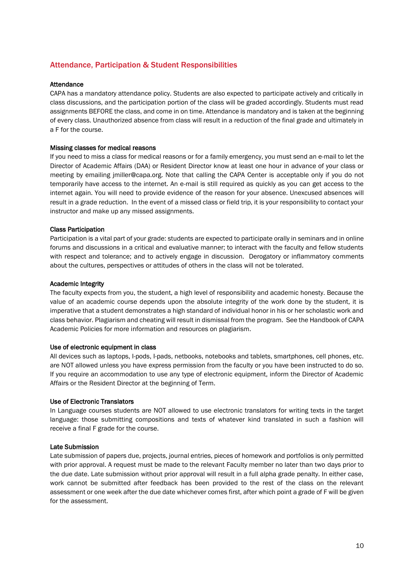# Attendance, Participation & Student Responsibilities

#### Attendance

CAPA has a mandatory attendance policy. Students are also expected to participate actively and critically in class discussions, and the participation portion of the class will be graded accordingly. Students must read assignments BEFORE the class, and come in on time. Attendance is mandatory and is taken at the beginning of every class. Unauthorized absence from class will result in a reduction of the final grade and ultimately in a F for the course.

#### Missing classes for medical reasons

If you need to miss a class for medical reasons or for a family emergency, you must send an e-mail to let the Director of Academic Affairs (DAA) or Resident Director know at least one hour in advance of your class or meeting by emailing jmiller@capa.org. Note that calling the CAPA Center is acceptable only if you do not temporarily have access to the internet. An e-mail is still required as quickly as you can get access to the internet again. You will need to provide evidence of the reason for your absence. Unexcused absences will result in a grade reduction. In the event of a missed class or field trip, it is your responsibility to contact your instructor and make up any missed assignments.

#### Class Participation

Participation is a vital part of your grade: students are expected to participate orally in seminars and in online forums and discussions in a critical and evaluative manner; to interact with the faculty and fellow students with respect and tolerance; and to actively engage in discussion. Derogatory or inflammatory comments about the cultures, perspectives or attitudes of others in the class will not be tolerated.

#### Academic Integrity

The faculty expects from you, the student, a high level of responsibility and academic honesty. Because the value of an academic course depends upon the absolute integrity of the work done by the student, it is imperative that a student demonstrates a high standard of individual honor in his or her scholastic work and class behavior. Plagiarism and cheating will result in dismissal from the program. See the Handbook of CAPA Academic Policies for more information and resources on plagiarism.

#### Use of electronic equipment in class

All devices such as laptops, I-pods, I-pads, netbooks, notebooks and tablets, smartphones, cell phones, etc. are NOT allowed unless you have express permission from the faculty or you have been instructed to do so. If you require an accommodation to use any type of electronic equipment, inform the Director of Academic Affairs or the Resident Director at the beginning of Term.

#### Use of Electronic Translators

In Language courses students are NOT allowed to use electronic translators for writing texts in the target language: those submitting compositions and texts of whatever kind translated in such a fashion will receive a final F grade for the course.

#### Late Submission

Late submission of papers due, projects, journal entries, pieces of homework and portfolios is only permitted with prior approval. A request must be made to the relevant Faculty member no later than two days prior to the due date. Late submission without prior approval will result in a full alpha grade penalty. In either case, work cannot be submitted after feedback has been provided to the rest of the class on the relevant assessment or one week after the due date whichever comes first, after which point a grade of F will be given for the assessment.